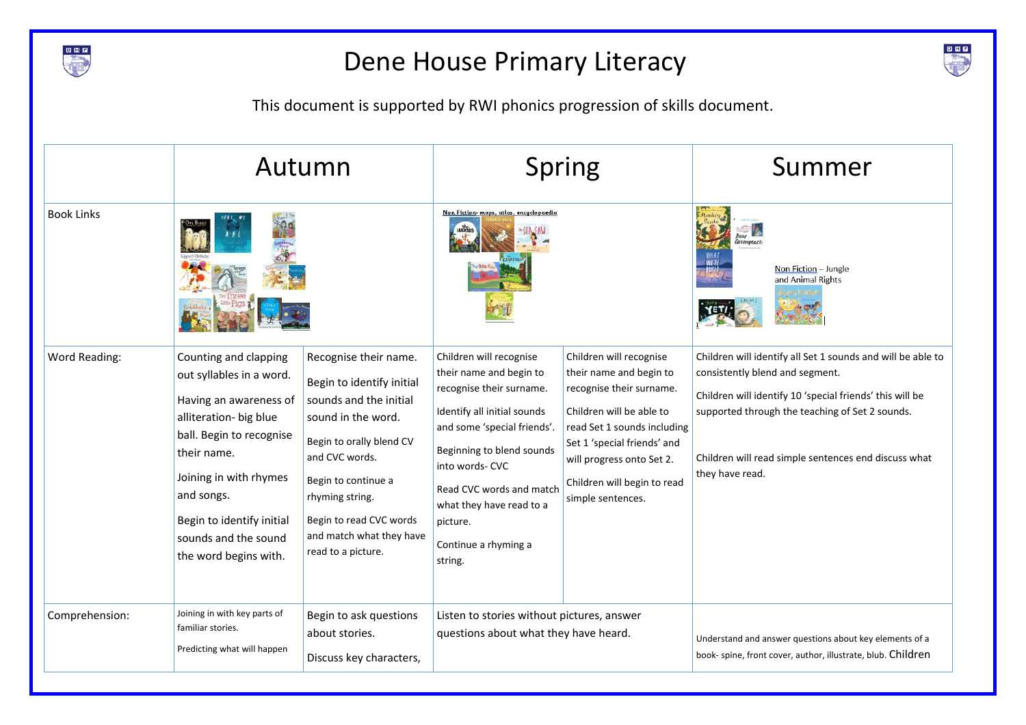

## Dene House Primary Literacy



This document is supported by RWI phonics progression of skills document.

|                      | Autumn                                                                                                                                                                                                                                                                 |                                                                                                                                                                                                                                                                         | <b>Spring</b><br>Non Fiction- maps, atlas, encyclopaedia                                                                                                                                                                                                                                            |                                                                                                                                                                                                                                                           | Summer<br><i>ireenpeace</i><br>Non Fiction - Jungle<br>and Animal Rights                                                                                                                                                                                                                 |
|----------------------|------------------------------------------------------------------------------------------------------------------------------------------------------------------------------------------------------------------------------------------------------------------------|-------------------------------------------------------------------------------------------------------------------------------------------------------------------------------------------------------------------------------------------------------------------------|-----------------------------------------------------------------------------------------------------------------------------------------------------------------------------------------------------------------------------------------------------------------------------------------------------|-----------------------------------------------------------------------------------------------------------------------------------------------------------------------------------------------------------------------------------------------------------|------------------------------------------------------------------------------------------------------------------------------------------------------------------------------------------------------------------------------------------------------------------------------------------|
| <b>Book Links</b>    |                                                                                                                                                                                                                                                                        |                                                                                                                                                                                                                                                                         |                                                                                                                                                                                                                                                                                                     |                                                                                                                                                                                                                                                           |                                                                                                                                                                                                                                                                                          |
| <b>Word Reading:</b> | Counting and clapping<br>out syllables in a word.<br>Having an awareness of<br>alliteration- big blue<br>ball. Begin to recognise<br>their name.<br>Joining in with rhymes<br>and songs.<br>Begin to identify initial<br>sounds and the sound<br>the word begins with. | Recognise their name.<br>Begin to identify initial<br>sounds and the initial<br>sound in the word.<br>Begin to orally blend CV<br>and CVC words.<br>Begin to continue a<br>rhyming string.<br>Begin to read CVC words<br>and match what they have<br>read to a picture. | Children will recognise<br>their name and begin to<br>recognise their surname.<br>Identify all initial sounds<br>and some 'special friends'.<br>Beginning to blend sounds<br>into words- CVC<br>Read CVC words and match<br>what they have read to a<br>picture.<br>Continue a rhyming a<br>string. | Children will recognise<br>their name and begin to<br>recognise their surname.<br>Children will be able to<br>read Set 1 sounds including<br>Set 1 'special friends' and<br>will progress onto Set 2.<br>Children will begin to read<br>simple sentences. | Children will identify all Set 1 sounds and will be able to<br>consistently blend and segment.<br>Children will identify 10 'special friends' this will be<br>supported through the teaching of Set 2 sounds.<br>Children will read simple sentences end discuss what<br>they have read. |
| Comprehension:       | Joining in with key parts of<br>familiar stories.<br>Predicting what will happen                                                                                                                                                                                       | Begin to ask questions<br>about stories.<br>Discuss key characters,                                                                                                                                                                                                     | Listen to stories without pictures, answer<br>questions about what they have heard.                                                                                                                                                                                                                 |                                                                                                                                                                                                                                                           | Understand and answer questions about key elements of a<br>book- spine, front cover, author, illustrate, blub. Children                                                                                                                                                                  |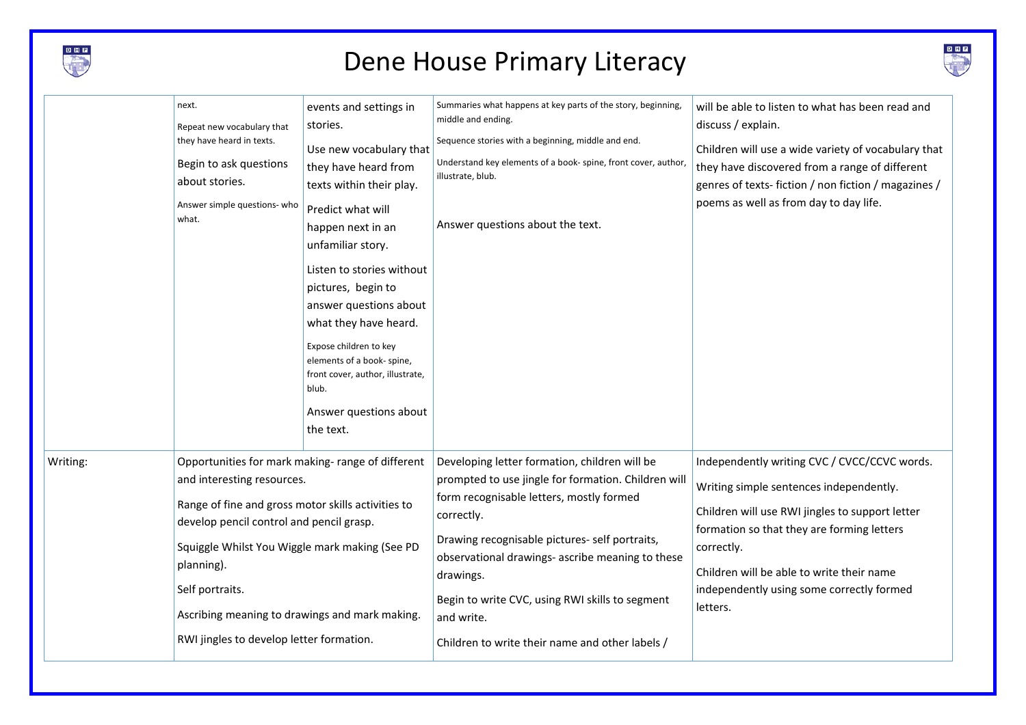

## Dene House Primary Literacy



|          | next.                                                                                                                                                                                                                                                                                                                                                             | events and settings in                                                                                                                                                                                                                                                                                                                                                                                   | Summaries what happens at key parts of the story, beginning,                                                                                                                                                                                                                                                                                                                                          | will be able to listen to what has been read and                                                                                                                                                                                                                                                             |
|----------|-------------------------------------------------------------------------------------------------------------------------------------------------------------------------------------------------------------------------------------------------------------------------------------------------------------------------------------------------------------------|----------------------------------------------------------------------------------------------------------------------------------------------------------------------------------------------------------------------------------------------------------------------------------------------------------------------------------------------------------------------------------------------------------|-------------------------------------------------------------------------------------------------------------------------------------------------------------------------------------------------------------------------------------------------------------------------------------------------------------------------------------------------------------------------------------------------------|--------------------------------------------------------------------------------------------------------------------------------------------------------------------------------------------------------------------------------------------------------------------------------------------------------------|
|          | Repeat new vocabulary that<br>they have heard in texts.<br>Begin to ask questions<br>about stories.<br>Answer simple questions- who<br>what.                                                                                                                                                                                                                      | stories.<br>Use new vocabulary that<br>they have heard from<br>texts within their play.<br>Predict what will<br>happen next in an<br>unfamiliar story.<br>Listen to stories without<br>pictures, begin to<br>answer questions about<br>what they have heard.<br>Expose children to key<br>elements of a book- spine,<br>front cover, author, illustrate,<br>blub.<br>Answer questions about<br>the text. | middle and ending.<br>Sequence stories with a beginning, middle and end.<br>Understand key elements of a book-spine, front cover, author,<br>illustrate, blub.<br>Answer questions about the text.                                                                                                                                                                                                    | discuss / explain.<br>Children will use a wide variety of vocabulary that<br>they have discovered from a range of different<br>genres of texts-fiction / non fiction / magazines /<br>poems as well as from day to day life.                                                                                 |
| Writing: | Opportunities for mark making-range of different<br>and interesting resources.<br>Range of fine and gross motor skills activities to<br>develop pencil control and pencil grasp.<br>Squiggle Whilst You Wiggle mark making (See PD<br>planning).<br>Self portraits.<br>Ascribing meaning to drawings and mark making.<br>RWI jingles to develop letter formation. |                                                                                                                                                                                                                                                                                                                                                                                                          | Developing letter formation, children will be<br>prompted to use jingle for formation. Children will<br>form recognisable letters, mostly formed<br>correctly.<br>Drawing recognisable pictures- self portraits,<br>observational drawings- ascribe meaning to these<br>drawings.<br>Begin to write CVC, using RWI skills to segment<br>and write.<br>Children to write their name and other labels / | Independently writing CVC / CVCC/CCVC words.<br>Writing simple sentences independently.<br>Children will use RWI jingles to support letter<br>formation so that they are forming letters<br>correctly.<br>Children will be able to write their name<br>independently using some correctly formed<br>letters. |